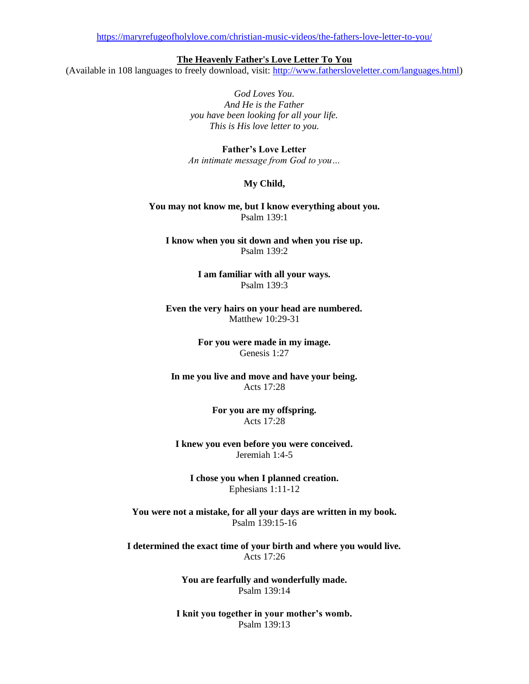<https://maryrefugeofholylove.com/christian-music-videos/the-fathers-love-letter-to-you/>

**The Heavenly Father's Love Letter To You**

(Available in 108 languages to freely download, visit: [http://www.fathersloveletter.com/languages.html\)](http://www.fathersloveletter.com/languages.html)

*God Loves You. And He is the Father you have been looking for all your life. This is His love letter to you.*

**Father's Love Letter** *An intimate message from God to you…*

## **My Child,**

**You may not know me, but I know everything about you.** Psalm 139:1

**I know when you sit down and when you rise up.** Psalm 139:2

> **I am familiar with all your ways.** Psalm 139:3

**Even the very hairs on your head are numbered.** Matthew 10:29-31

> **For you were made in my image.** Genesis 1:27

**In me you live and move and have your being.** Acts 17:28

> **For you are my offspring.** Acts 17:28

**I knew you even before you were conceived.** Jeremiah 1:4-5

**I chose you when I planned creation.** Ephesians 1:11-12

**You were not a mistake, for all your days are written in my book.** Psalm 139:15-16

**I determined the exact time of your birth and where you would live.** Acts 17:26

> **You are fearfully and wonderfully made.** Psalm 139:14

**I knit you together in your mother's womb.** Psalm 139:13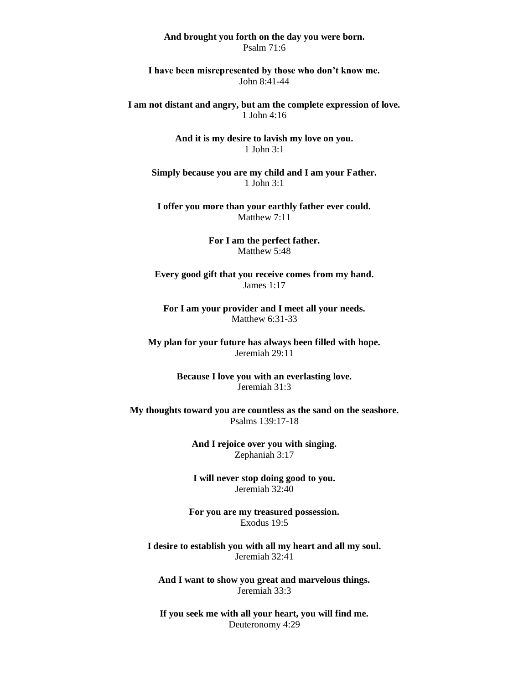## **And brought you forth on the day you were born.** Psalm 71:6

**I have been misrepresented by those who don't know me.** John 8:41-44

**I am not distant and angry, but am the complete expression of love.** 1 John 4:16

> **And it is my desire to lavish my love on you.** 1 John 3:1

**Simply because you are my child and I am your Father.** 1 John 3:1

**I offer you more than your earthly father ever could.** Matthew 7:11

> **For I am the perfect father.** Matthew 5:48

**Every good gift that you receive comes from my hand.** James 1:17

**For I am your provider and I meet all your needs.** Matthew 6:31-33

**My plan for your future has always been filled with hope.** Jeremiah 29:11

> **Because I love you with an everlasting love.** Jeremiah 31:3

**My thoughts toward you are countless as the sand on the seashore.** Psalms 139:17-18

> **And I rejoice over you with singing.** Zephaniah 3:17

> **I will never stop doing good to you.** Jeremiah 32:40

**For you are my treasured possession.** Exodus 19:5

**I desire to establish you with all my heart and all my soul.** Jeremiah 32:41

**And I want to show you great and marvelous things.** Jeremiah 33:3

**If you seek me with all your heart, you will find me.** Deuteronomy 4:29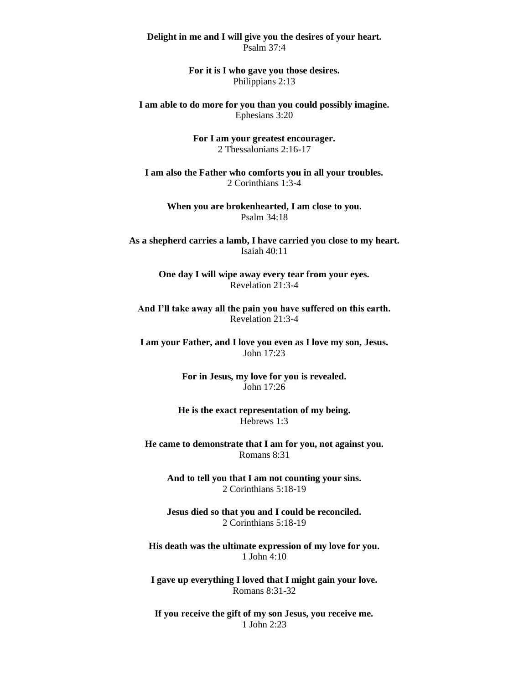**Delight in me and I will give you the desires of your heart.** Psalm 37:4

> **For it is I who gave you those desires.** Philippians 2:13

**I am able to do more for you than you could possibly imagine.** Ephesians 3:20

> **For I am your greatest encourager.** 2 Thessalonians 2:16-17

**I am also the Father who comforts you in all your troubles.** 2 Corinthians 1:3-4

**When you are brokenhearted, I am close to you.** Psalm 34:18

**As a shepherd carries a lamb, I have carried you close to my heart.** Isaiah 40:11

> **One day I will wipe away every tear from your eyes.** Revelation 21:3-4

**And I'll take away all the pain you have suffered on this earth.** Revelation 21:3-4

**I am your Father, and I love you even as I love my son, Jesus.** John 17:23

> **For in Jesus, my love for you is revealed.** John 17:26

**He is the exact representation of my being.** Hebrews 1:3

**He came to demonstrate that I am for you, not against you.** Romans 8:31

**And to tell you that I am not counting your sins.** 2 Corinthians 5:18-19

**Jesus died so that you and I could be reconciled.** 2 Corinthians 5:18-19

**His death was the ultimate expression of my love for you.** 1 John 4:10

**I gave up everything I loved that I might gain your love.** Romans 8:31-32

**If you receive the gift of my son Jesus, you receive me.** 1 John 2:23